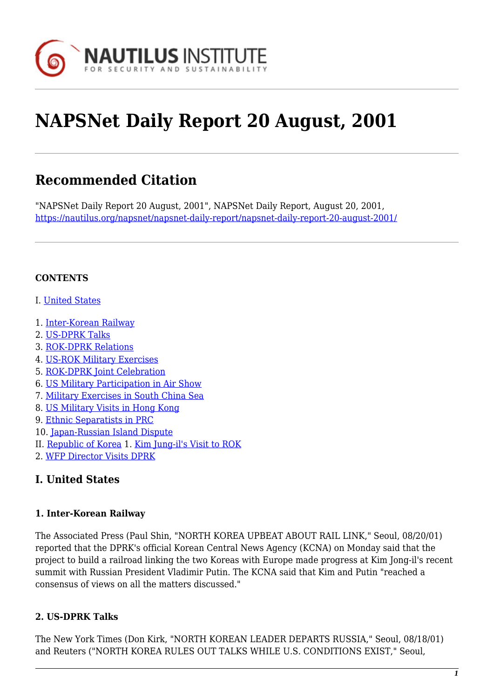

# **NAPSNet Daily Report 20 August, 2001**

## **Recommended Citation**

"NAPSNet Daily Report 20 August, 2001", NAPSNet Daily Report, August 20, 2001, <https://nautilus.org/napsnet/napsnet-daily-report/napsnet-daily-report-20-august-2001/>

#### **CONTENTS**

- I. [United States](#page-0-0)
- 1. [Inter-Korean Railway](#page-0-1)
- 2. [US-DPRK Talks](#page-0-2)
- 3. [ROK-DPRK Relations](#page-1-0)
- 4. [US-ROK Military Exercises](#page-1-1)
- 5. [ROK-DPRK Joint Celebration](#page-1-2)
- 6. [US Military Participation in Air Show](#page-1-3)
- 7. [Military Exercises in South China Sea](#page-2-0)
- 8. [US Military Visits in Hong Kong](#page-2-1)
- 9. [Ethnic Separatists in PRC](#page-2-2)
- 10. [Japan-Russian Island Dispute](#page-3-0)
- II. [Republic of Korea](#page-3-1) 1. [Kim Jung-il's Visit to ROK](#page-3-2)
- <span id="page-0-0"></span>2. [WFP Director Visits DPRK](#page-3-3)

#### **I. United States**

#### <span id="page-0-1"></span>**1. Inter-Korean Railway**

The Associated Press (Paul Shin, "NORTH KOREA UPBEAT ABOUT RAIL LINK," Seoul, 08/20/01) reported that the DPRK's official Korean Central News Agency (KCNA) on Monday said that the project to build a railroad linking the two Koreas with Europe made progress at Kim Jong-il's recent summit with Russian President Vladimir Putin. The KCNA said that Kim and Putin "reached a consensus of views on all the matters discussed."

#### <span id="page-0-2"></span>**2. US-DPRK Talks**

The New York Times (Don Kirk, "NORTH KOREAN LEADER DEPARTS RUSSIA," Seoul, 08/18/01) and Reuters ("NORTH KOREA RULES OUT TALKS WHILE U.S. CONDITIONS EXIST," Seoul,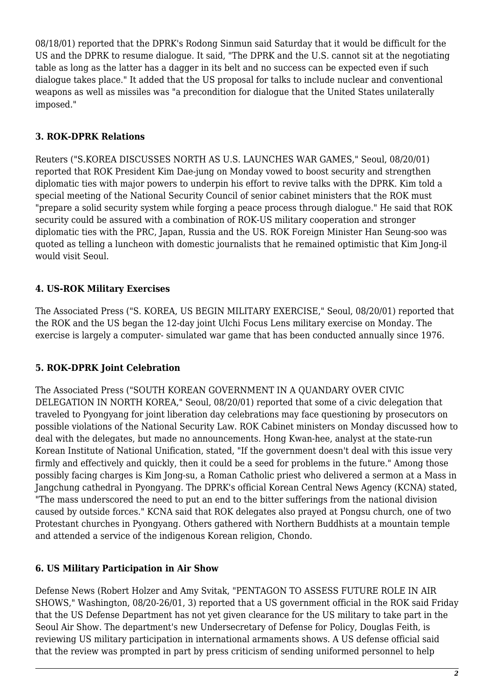08/18/01) reported that the DPRK's Rodong Sinmun said Saturday that it would be difficult for the US and the DPRK to resume dialogue. It said, "The DPRK and the U.S. cannot sit at the negotiating table as long as the latter has a dagger in its belt and no success can be expected even if such dialogue takes place." It added that the US proposal for talks to include nuclear and conventional weapons as well as missiles was "a precondition for dialogue that the United States unilaterally imposed."

#### <span id="page-1-0"></span>**3. ROK-DPRK Relations**

Reuters ("S.KOREA DISCUSSES NORTH AS U.S. LAUNCHES WAR GAMES," Seoul, 08/20/01) reported that ROK President Kim Dae-jung on Monday vowed to boost security and strengthen diplomatic ties with major powers to underpin his effort to revive talks with the DPRK. Kim told a special meeting of the National Security Council of senior cabinet ministers that the ROK must "prepare a solid security system while forging a peace process through dialogue." He said that ROK security could be assured with a combination of ROK-US military cooperation and stronger diplomatic ties with the PRC, Japan, Russia and the US. ROK Foreign Minister Han Seung-soo was quoted as telling a luncheon with domestic journalists that he remained optimistic that Kim Jong-il would visit Seoul.

#### <span id="page-1-1"></span>**4. US-ROK Military Exercises**

The Associated Press ("S. KOREA, US BEGIN MILITARY EXERCISE," Seoul, 08/20/01) reported that the ROK and the US began the 12-day joint Ulchi Focus Lens military exercise on Monday. The exercise is largely a computer- simulated war game that has been conducted annually since 1976.

#### <span id="page-1-2"></span>**5. ROK-DPRK Joint Celebration**

The Associated Press ("SOUTH KOREAN GOVERNMENT IN A QUANDARY OVER CIVIC DELEGATION IN NORTH KOREA," Seoul, 08/20/01) reported that some of a civic delegation that traveled to Pyongyang for joint liberation day celebrations may face questioning by prosecutors on possible violations of the National Security Law. ROK Cabinet ministers on Monday discussed how to deal with the delegates, but made no announcements. Hong Kwan-hee, analyst at the state-run Korean Institute of National Unification, stated, "If the government doesn't deal with this issue very firmly and effectively and quickly, then it could be a seed for problems in the future." Among those possibly facing charges is Kim Jong-su, a Roman Catholic priest who delivered a sermon at a Mass in Jangchung cathedral in Pyongyang. The DPRK's official Korean Central News Agency (KCNA) stated, "The mass underscored the need to put an end to the bitter sufferings from the national division caused by outside forces." KCNA said that ROK delegates also prayed at Pongsu church, one of two Protestant churches in Pyongyang. Others gathered with Northern Buddhists at a mountain temple and attended a service of the indigenous Korean religion, Chondo.

#### <span id="page-1-3"></span>**6. US Military Participation in Air Show**

Defense News (Robert Holzer and Amy Svitak, "PENTAGON TO ASSESS FUTURE ROLE IN AIR SHOWS," Washington, 08/20-26/01, 3) reported that a US government official in the ROK said Friday that the US Defense Department has not yet given clearance for the US military to take part in the Seoul Air Show. The department's new Undersecretary of Defense for Policy, Douglas Feith, is reviewing US military participation in international armaments shows. A US defense official said that the review was prompted in part by press criticism of sending uniformed personnel to help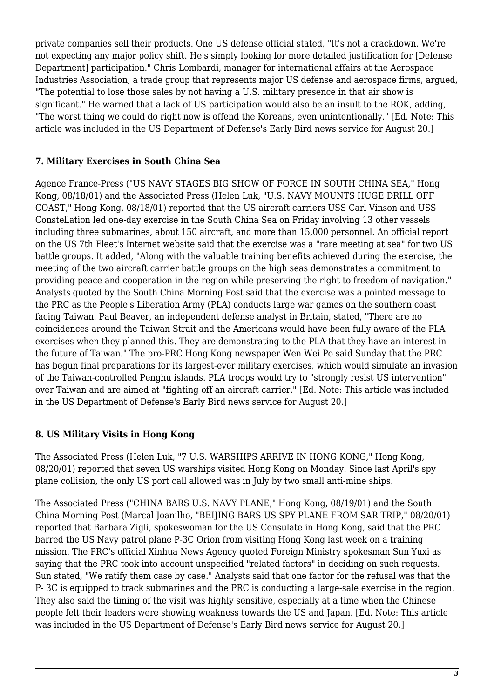private companies sell their products. One US defense official stated, "It's not a crackdown. We're not expecting any major policy shift. He's simply looking for more detailed justification for [Defense Department] participation." Chris Lombardi, manager for international affairs at the Aerospace Industries Association, a trade group that represents major US defense and aerospace firms, argued, "The potential to lose those sales by not having a U.S. military presence in that air show is significant." He warned that a lack of US participation would also be an insult to the ROK, adding, "The worst thing we could do right now is offend the Koreans, even unintentionally." [Ed. Note: This article was included in the US Department of Defense's Early Bird news service for August 20.]

#### <span id="page-2-0"></span>**7. Military Exercises in South China Sea**

Agence France-Press ("US NAVY STAGES BIG SHOW OF FORCE IN SOUTH CHINA SEA," Hong Kong, 08/18/01) and the Associated Press (Helen Luk, "U.S. NAVY MOUNTS HUGE DRILL OFF COAST," Hong Kong, 08/18/01) reported that the US aircraft carriers USS Carl Vinson and USS Constellation led one-day exercise in the South China Sea on Friday involving 13 other vessels including three submarines, about 150 aircraft, and more than 15,000 personnel. An official report on the US 7th Fleet's Internet website said that the exercise was a "rare meeting at sea" for two US battle groups. It added, "Along with the valuable training benefits achieved during the exercise, the meeting of the two aircraft carrier battle groups on the high seas demonstrates a commitment to providing peace and cooperation in the region while preserving the right to freedom of navigation." Analysts quoted by the South China Morning Post said that the exercise was a pointed message to the PRC as the People's Liberation Army (PLA) conducts large war games on the southern coast facing Taiwan. Paul Beaver, an independent defense analyst in Britain, stated, "There are no coincidences around the Taiwan Strait and the Americans would have been fully aware of the PLA exercises when they planned this. They are demonstrating to the PLA that they have an interest in the future of Taiwan." The pro-PRC Hong Kong newspaper Wen Wei Po said Sunday that the PRC has begun final preparations for its largest-ever military exercises, which would simulate an invasion of the Taiwan-controlled Penghu islands. PLA troops would try to "strongly resist US intervention" over Taiwan and are aimed at "fighting off an aircraft carrier." [Ed. Note: This article was included in the US Department of Defense's Early Bird news service for August 20.]

#### <span id="page-2-1"></span>**8. US Military Visits in Hong Kong**

The Associated Press (Helen Luk, "7 U.S. WARSHIPS ARRIVE IN HONG KONG," Hong Kong, 08/20/01) reported that seven US warships visited Hong Kong on Monday. Since last April's spy plane collision, the only US port call allowed was in July by two small anti-mine ships.

<span id="page-2-2"></span>The Associated Press ("CHINA BARS U.S. NAVY PLANE," Hong Kong, 08/19/01) and the South China Morning Post (Marcal Joanilho, "BEIJING BARS US SPY PLANE FROM SAR TRIP," 08/20/01) reported that Barbara Zigli, spokeswoman for the US Consulate in Hong Kong, said that the PRC barred the US Navy patrol plane P-3C Orion from visiting Hong Kong last week on a training mission. The PRC's official Xinhua News Agency quoted Foreign Ministry spokesman Sun Yuxi as saying that the PRC took into account unspecified "related factors" in deciding on such requests. Sun stated, "We ratify them case by case." Analysts said that one factor for the refusal was that the P- 3C is equipped to track submarines and the PRC is conducting a large-sale exercise in the region. They also said the timing of the visit was highly sensitive, especially at a time when the Chinese people felt their leaders were showing weakness towards the US and Japan. [Ed. Note: This article was included in the US Department of Defense's Early Bird news service for August 20.]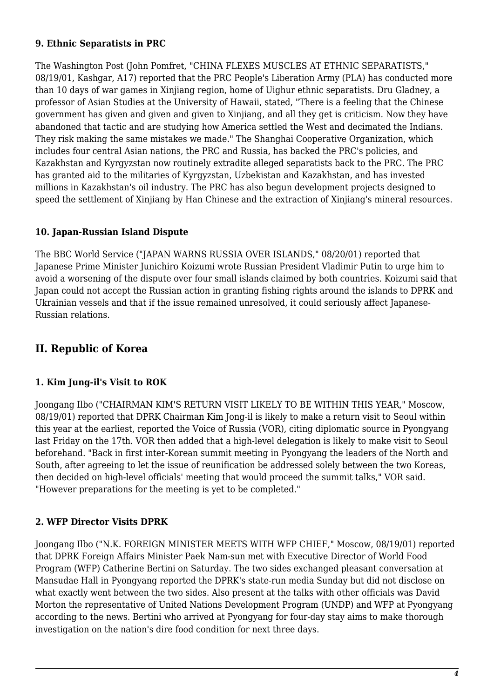#### **9. Ethnic Separatists in PRC**

The Washington Post (John Pomfret, "CHINA FLEXES MUSCLES AT ETHNIC SEPARATISTS," 08/19/01, Kashgar, A17) reported that the PRC People's Liberation Army (PLA) has conducted more than 10 days of war games in Xinjiang region, home of Uighur ethnic separatists. Dru Gladney, a professor of Asian Studies at the University of Hawaii, stated, "There is a feeling that the Chinese government has given and given and given to Xinjiang, and all they get is criticism. Now they have abandoned that tactic and are studying how America settled the West and decimated the Indians. They risk making the same mistakes we made." The Shanghai Cooperative Organization, which includes four central Asian nations, the PRC and Russia, has backed the PRC's policies, and Kazakhstan and Kyrgyzstan now routinely extradite alleged separatists back to the PRC. The PRC has granted aid to the militaries of Kyrgyzstan, Uzbekistan and Kazakhstan, and has invested millions in Kazakhstan's oil industry. The PRC has also begun development projects designed to speed the settlement of Xinjiang by Han Chinese and the extraction of Xinjiang's mineral resources.

#### <span id="page-3-0"></span>**10. Japan-Russian Island Dispute**

The BBC World Service ("JAPAN WARNS RUSSIA OVER ISLANDS," 08/20/01) reported that Japanese Prime Minister Junichiro Koizumi wrote Russian President Vladimir Putin to urge him to avoid a worsening of the dispute over four small islands claimed by both countries. Koizumi said that Japan could not accept the Russian action in granting fishing rights around the islands to DPRK and Ukrainian vessels and that if the issue remained unresolved, it could seriously affect Japanese-Russian relations.

### <span id="page-3-1"></span>**II. Republic of Korea**

#### <span id="page-3-2"></span>**1. Kim Jung-il's Visit to ROK**

Joongang Ilbo ("CHAIRMAN KIM'S RETURN VISIT LIKELY TO BE WITHIN THIS YEAR," Moscow, 08/19/01) reported that DPRK Chairman Kim Jong-il is likely to make a return visit to Seoul within this year at the earliest, reported the Voice of Russia (VOR), citing diplomatic source in Pyongyang last Friday on the 17th. VOR then added that a high-level delegation is likely to make visit to Seoul beforehand. "Back in first inter-Korean summit meeting in Pyongyang the leaders of the North and South, after agreeing to let the issue of reunification be addressed solely between the two Koreas, then decided on high-level officials' meeting that would proceed the summit talks," VOR said. "However preparations for the meeting is yet to be completed."

#### <span id="page-3-3"></span>**2. WFP Director Visits DPRK**

Joongang Ilbo ("N.K. FOREIGN MINISTER MEETS WITH WFP CHIEF," Moscow, 08/19/01) reported that DPRK Foreign Affairs Minister Paek Nam-sun met with Executive Director of World Food Program (WFP) Catherine Bertini on Saturday. The two sides exchanged pleasant conversation at Mansudae Hall in Pyongyang reported the DPRK's state-run media Sunday but did not disclose on what exactly went between the two sides. Also present at the talks with other officials was David Morton the representative of United Nations Development Program (UNDP) and WFP at Pyongyang according to the news. Bertini who arrived at Pyongyang for four-day stay aims to make thorough investigation on the nation's dire food condition for next three days.